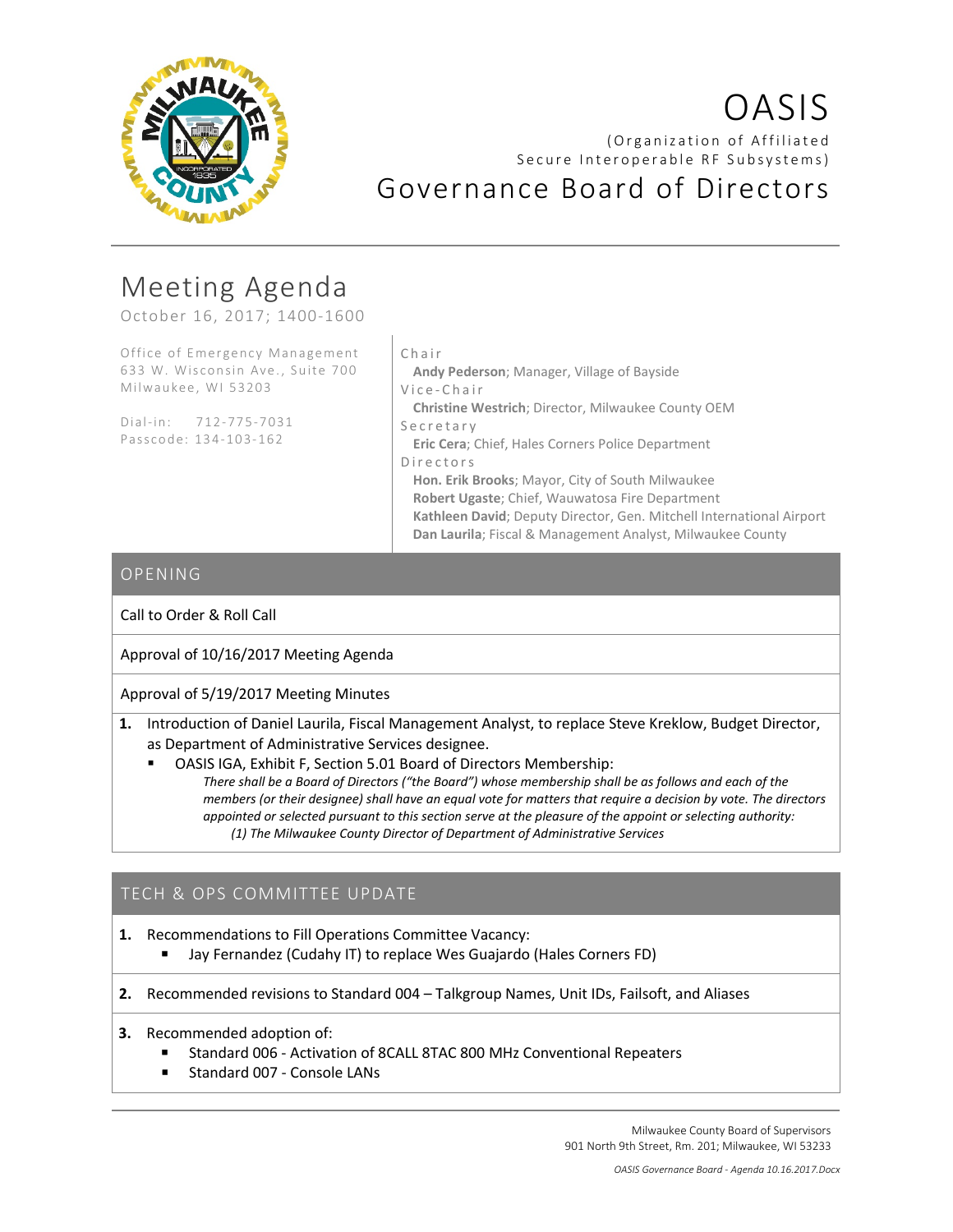

# OASIS (Organization of Affiliated Secure Interoperable RF Subsystems) Governance Board of Directors

# Meeting Agenda

October 16, 2017; 1400-1600

Office of Emergency Management 633 W. Wisconsin Ave., Suite 700 Milwaukee, WI 53203

Dial-in: 712-775-7031 Passcode: 134-103-162

#### Chair

**Andy Pederson**; Manager, Village of Bayside Vice - Chair

**Christine Westrich**; Director, Milwaukee County OEM Secretary

**Eric Cera**; Chief, Hales Corners Police Department Directors

**Hon. Erik Brooks**; Mayor, City of South Milwaukee **Robert Ugaste**; Chief, Wauwatosa Fire Department **Kathleen David**; Deputy Director, Gen. Mitchell International Airport **Dan Laurila**; Fiscal & Management Analyst, Milwaukee County

### OPENING

Call to Order & Roll Call

Approval of 10/16/2017 Meeting Agenda

Approval of 5/19/2017 Meeting Minutes

**1.** Introduction of Daniel Laurila, Fiscal Management Analyst, to replace Steve Kreklow, Budget Director, as Department of Administrative Services designee.

 OASIS IGA, Exhibit F, Section 5.01 Board of Directors Membership: *There shall be a Board of Directors ("the Board") whose membership shall be as follows and each of the members (or their designee) shall have an equal vote for matters that require a decision by vote. The directors appointed or selected pursuant to this section serve at the pleasure of the appoint or selecting authority: (1) The Milwaukee County Director of Department of Administrative Services*

# TECH & OPS COMMITTEE UPDATE

**1.** Recommendations to Fill Operations Committee Vacancy:

Jay Fernandez (Cudahy IT) to replace Wes Guajardo (Hales Corners FD)

**2.** Recommended revisions to Standard 004 – Talkgroup Names, Unit IDs, Failsoft, and Aliases

- **3.** Recommended adoption of:
	- Standard 006 Activation of 8CALL 8TAC 800 MHz Conventional Repeaters
	- Standard 007 Console LANs